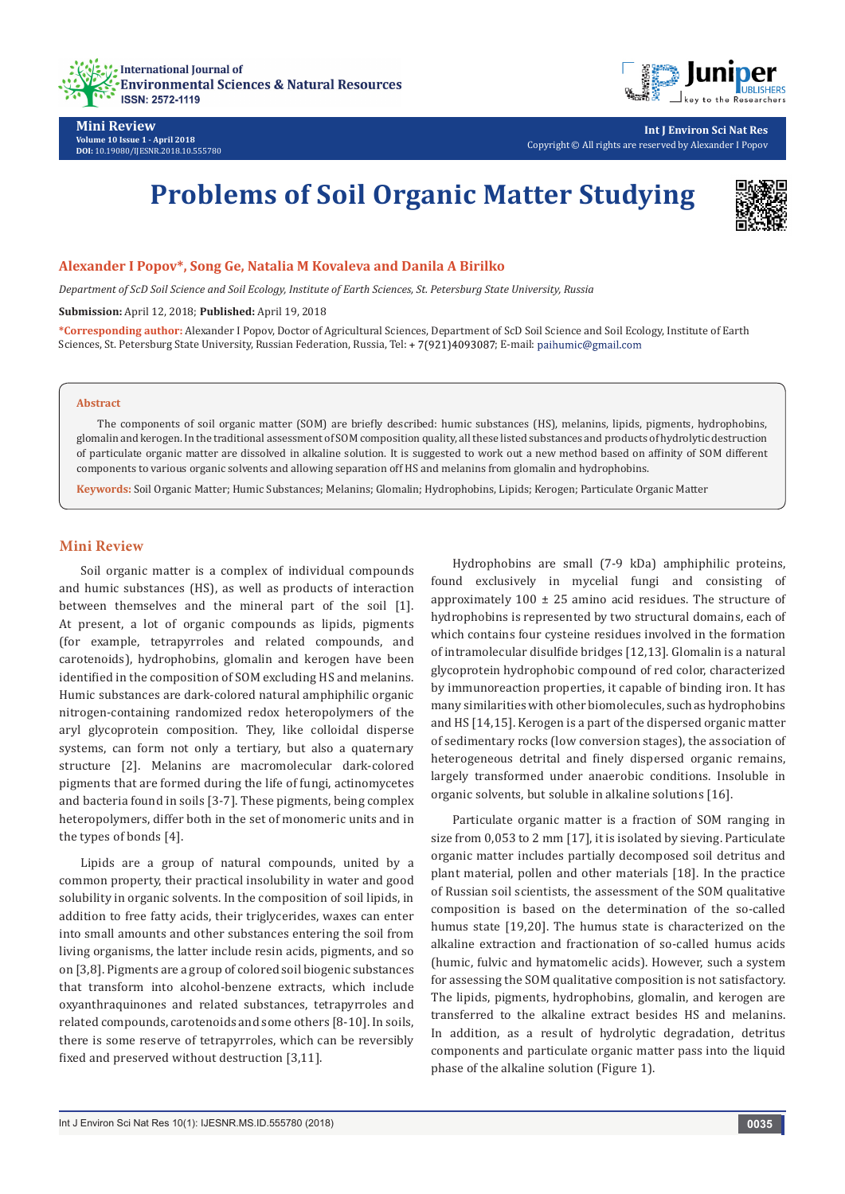



**Mini Review Volume 10 Issue 1 - April 2018 DOI:** [10.19080/IJESNR.2018.10.555780](http://dx.doi.org/10.19080/IJESNR.2018.10.555780)

**Int J Environ Sci Nat Res** Copyright © All rights are reserved by Alexander I Popov

# **Problems of Soil Organic Matter Studying**



#### **Alexander I Popov\*, Song Ge, Natalia M Kovaleva and Danila A Birilko**

*Department of ScD Soil Science and Soil Ecology, Institute of Earth Sciences, St. Petersburg State University, Russia*

**Submission:** April 12, 2018; **Published:** April 19, 2018

**\*Corresponding author:** Alexander I Popov, Doctor of Agricultural Sciences, Department of ScD Soil Science and Soil Ecology, Institute of Earth Sciences, St. Petersburg State University, Russian Federation, Russia, Tel: + 7(921)4093087; E-mail: paihumic@gmail.com

#### **Abstract**

The components of soil organic matter (SOM) are briefly described: humic substances (HS), melanins, lipids, pigments, hydrophobins, glomalin and kerogen. In the traditional assessment of SOM composition quality, all these listed substances and products of hydrolytic destruction of particulate organic matter are dissolved in alkaline solution. It is suggested to work out a new method based on affinity of SOM different components to various organic solvents and allowing separation off HS and melanins from glomalin and hydrophobins.

**Keywords:** Soil Organic Matter; Humic Substances; Melanins; Glomalin; Hydrophobins, Lipids; Kerogen; Particulate Organic Matter

#### **Mini Review**

Soil organic matter is a complex of individual compounds and humic substances (HS), as well as products of interaction between themselves and the mineral part of the soil [1]. At present, a lot of organic compounds as lipids, pigments (for example, tetrapyrroles and related compounds, and carotenoids), hydrophobins, glomalin and kerogen have been identified in the composition of SOM excluding HS and melanins. Humic substances are dark-colored natural amphiphilic organic nitrogen-containing randomized redox heteropolymers of the aryl glycoprotein composition. They, like colloidal disperse systems, can form not only a tertiary, but also a quaternary structure [2]. Melanins are macromolecular dark-colored pigments that are formed during the life of fungi, actinomycetes and bacteria found in soils [3-7]. These pigments, being complex heteropolymers, differ both in the set of monomeric units and in the types of bonds [4].

Lipids are a group of natural compounds, united by a common property, their practical insolubility in water and good solubility in organic solvents. In the composition of soil lipids, in addition to free fatty acids, their triglycerides, waxes can enter into small amounts and other substances entering the soil from living organisms, the latter include resin acids, pigments, and so on [3,8]. Pigments are a group of colored soil biogenic substances that transform into alcohol-benzene extracts, which include oxyanthraquinones and related substances, tetrapyrroles and related compounds, carotenoids and some others [8-10]. In soils, there is some reserve of tetrapyrroles, which can be reversibly fixed and preserved without destruction [3,11].

Hydrophobins are small (7-9 kDa) amphiphilic proteins, found exclusively in mycelial fungi and consisting of approximately  $100 \pm 25$  amino acid residues. The structure of hydrophobins is represented by two structural domains, each of which contains four cysteine residues involved in the formation of intramolecular disulfide bridges [12,13]. Glomalin is a natural glycoprotein hydrophobic compound of red color, characterized by immunoreaction properties, it capable of binding iron. It has many similarities with other biomolecules, such as hydrophobins and HS [14,15]. Kerogen is a part of the dispersed organic matter of sedimentary rocks (low conversion stages), the association of heterogeneous detrital and finely dispersed organic remains, largely transformed under anaerobic conditions. Insoluble in organic solvents, but soluble in alkaline solutions [16].

Particulate organic matter is a fraction of SOM ranging in size from 0,053 to 2 mm [17], it is isolated by sieving. Particulate organic matter includes partially decomposed soil detritus and plant material, pollen and other materials [18]. In the practice of Russian soil scientists, the assessment of the SOM qualitative composition is based on the determination of the so-called humus state [19,20]. The humus state is characterized on the alkaline extraction and fractionation of so-called humus acids (humic, fulvic and hymatomelic acids). However, such a system for assessing the SOM qualitative composition is not satisfactory. The lipids, pigments, hydrophobins, glomalin, and kerogen are transferred to the alkaline extract besides HS and melanins. In addition, as a result of hydrolytic degradation, detritus components and particulate organic matter pass into the liquid phase of the alkaline solution (Figure 1).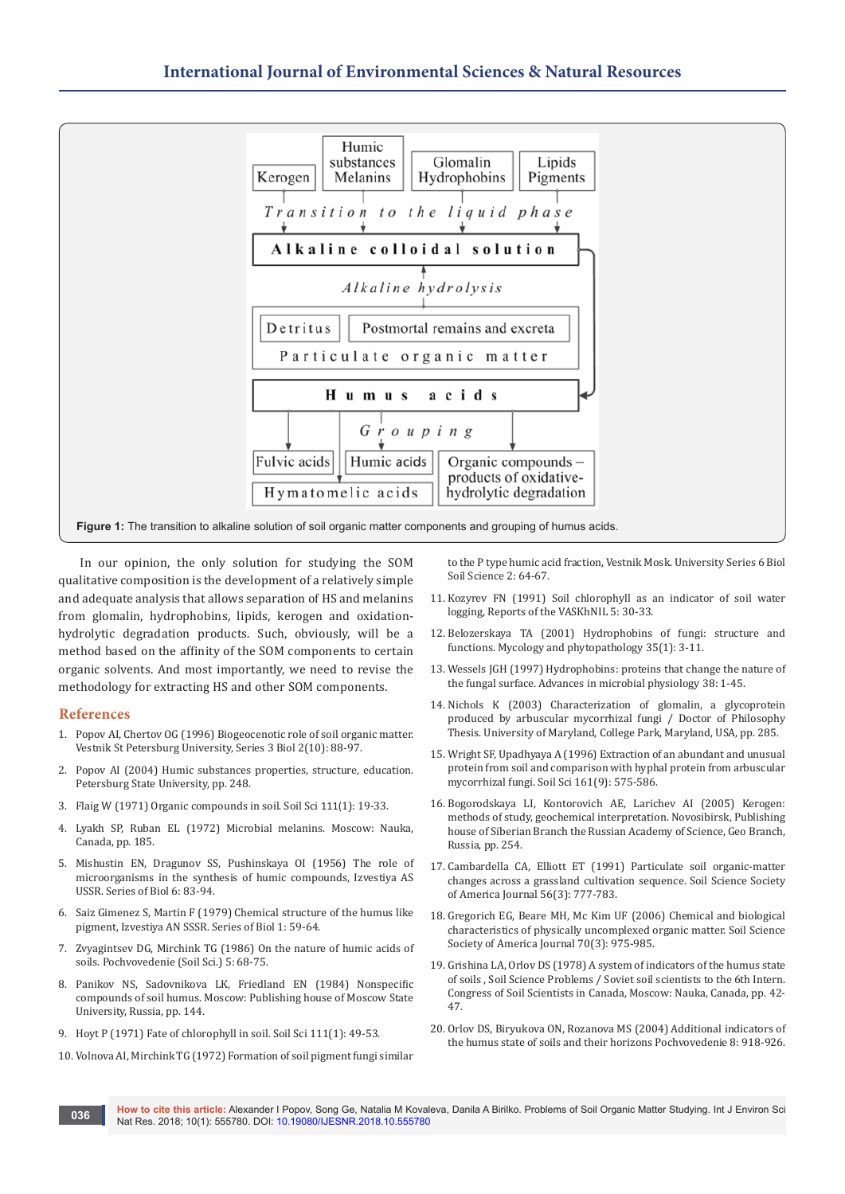

In our opinion, the only solution for studying the SOM qualitative composition is the development of a relatively simple and adequate analysis that allows separation of HS and melanins from glomalin, hydrophobins, lipids, kerogen and oxidationhydrolytic degradation products. Such, obviously, will be a method based on the affinity of the SOM components to certain organic solvents. And most importantly, we need to revise the methodology for extracting HS and other SOM components.

#### **References**

- 1. Popov AI, Chertov OG (1996) Biogeocenotic role of soil organic matter. Vestnik St Petersburg University, Series 3 Biol 2(10): 88-97.
- 2. Popov AI (2004) Humic substances properties, structure, education. Petersburg State University, pp. 248.
- 3. [Flaig W \(1971\) Organic compounds in soil. Soil Sci](https://journals.lww.com/soilsci/Citation/1971/01000/ORGANIC_COMPOUNDS_IN_SOIL_.3.aspx) 111(1): 19-33.
- 4. Lyakh SP, Ruban EL (1972) Microbial melanins. Moscow: Nauka, Canada, pp. 185.
- 5. Mishustin EN, Dragunov SS, Pushinskaya OI (1956) The role of microorganisms in the synthesis of humic compounds, Izvestiya AS USSR. Series of Biol 6: 83-94.
- 6. Saiz Gimenez S, Martin F (1979) Chemical structure of the humus like pigment, Izvestiya AN SSSR. Series of Biol 1: 59-64.
- 7. Zvyagintsev DG, Mirchink TG (1986) On the nature of humic acids of soils. Pochvovedenie (Soil Sci.) 5: 68-75.
- 8. Panikov NS, Sadovnikova LK, Friedland EN (1984) Nonspecific compounds of soil humus. Moscow: Publishing house of Moscow State University, Russia, pp. 144.
- 9. Hoyt P (1971) Fate of chlorophyll in soil. Soil Sci 111(1): 49-53.
- 10. Volnova AI, Mirchink TG (1972) Formation of soil pigment fungi similar

to the P type humic acid fraction, Vestnik Mosk. University Series 6 Biol Soil Science 2: 64-67.

- 11. Kozyrev FN (1991) Soil chlorophyll as an indicator of soil water logging, Reports of the VASKhNIL 5: 30-33.
- 12. Belozerskaya TA (2001) Hydrophobins of fungi: structure and functions. Mycology and phytopathology 35(1): 3-11.
- 13. Wessels JGH (1997) Hydrophobins: proteins that change the nature of the fungal surface. Advances in microbial physiology 38: 1-45.
- 14. Nichols K (2003) Characterization of glomalin, a glycoprotein produced by arbuscular mycorrhizal fungi / Doctor of Philosophy Thesis. University of Maryland, College Park, Maryland, USA, pp. 285.
- 15. Wright SF, Upadhyaya A (1996) Extraction of an abundant and unusual protein from soil and comparison with hyphal protein from arbuscular mycorrhizal fungi. Soil Sci 161(9): 575-586.
- 16. Bogorodskaya LI, Kontorovich AE, Larichev AI (2005) Kerogen: methods of study, geochemical interpretation. Novosibirsk, Publishing house of Siberian Branch the Russian Academy of Science, Geo Branch, Russia, pp. 254.
- 17. [Cambardella CA, Elliott ET \(1991\) Particulate soil organic-matter](http://www.scirp.org/(S(i43dyn45teexjx455qlt3d2q))/reference/ReferencesPapers.aspx?ReferenceID=1928940)  [changes across a grassland cultivation sequence. Soil Science Society](http://www.scirp.org/(S(i43dyn45teexjx455qlt3d2q))/reference/ReferencesPapers.aspx?ReferenceID=1928940)  [of America Journal](http://www.scirp.org/(S(i43dyn45teexjx455qlt3d2q))/reference/ReferencesPapers.aspx?ReferenceID=1928940) 56(3): 777-783.
- 18. [Gregorich EG, Beare MH, Mc Kim UF \(2006\) Chemical and biological](http://adsabs.harvard.edu/abs/2006SSASJ..70..975G)  [characteristics of physically uncomplexed organic matter. Soil Science](http://adsabs.harvard.edu/abs/2006SSASJ..70..975G)  [Society of America Journal 70\(3\):](http://adsabs.harvard.edu/abs/2006SSASJ..70..975G) 975-985.
- 19. Grishina LA, Orlov DS (1978) A system of indicators of the humus state of soils , Soil Science Problems / Soviet soil scientists to the 6th Intern. Congress of Soil Scientists in Canada, Moscow: Nauka, Canada, pp. 42- 47.
- 20. Orlov DS, Biryukova ON, Rozanova MS (2004) Additional indicators of the humus state of soils and their horizons Pochvovedenie 8: 918-926.